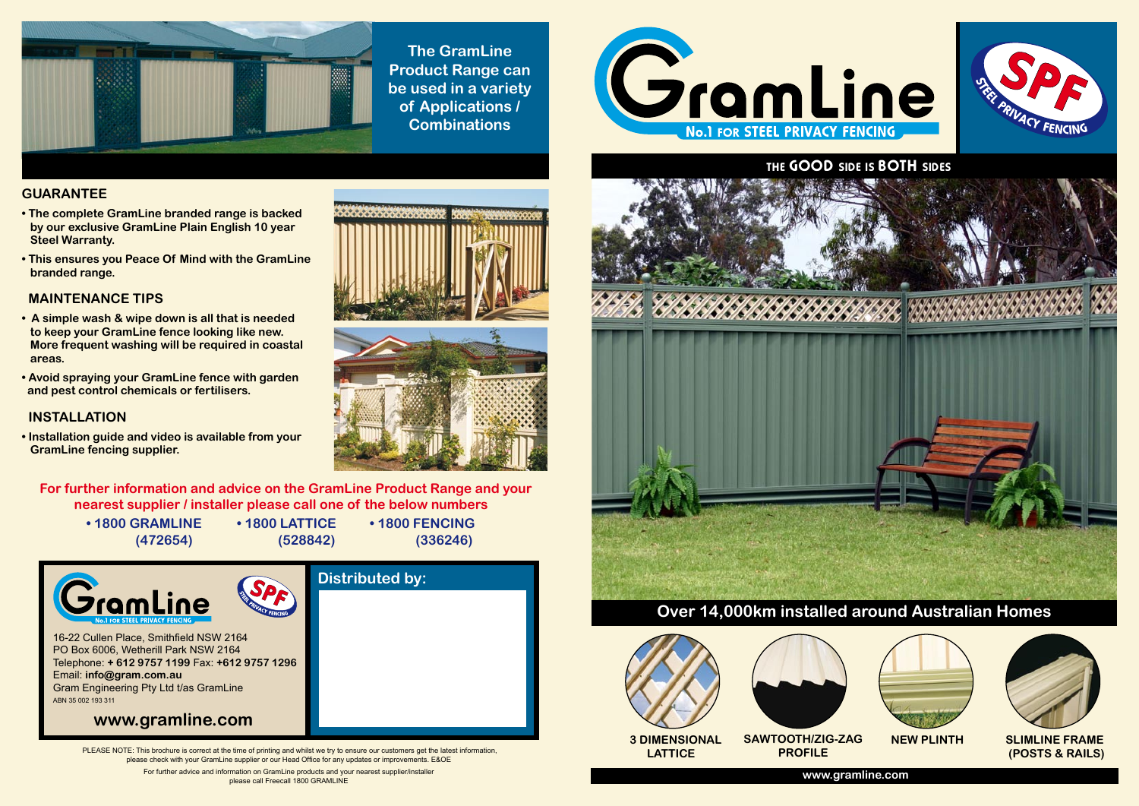PLEASE NOTE: This brochure is correct at the time of printing and whilst we try to ensure our customers get the latest information, please check with your GramLine supplier or our Head Office for any updates or improvements. E&OE



For further advice and information on GramLine products and your nearest supplier/installer please call Freecall 1800 GRAMLINE





**The GramLine Product Range can be used in a variety of Applications / Combinations**

# **GUARANTEE**

- **The complete GramLine branded range is backed by our exclusive GramLine Plain English 10 year Steel Warranty.**
- **This ensures you Peace Of Mind with the GramLine branded range.**

# **MAINTENANCE TIPS**

- **A simple wash & wipe down is all that is needed to keep your GramLine fence looking like new. More frequent washing will be required in coastal areas.**
- **Avoid spraying your GramLine fence with garden and pest control chemicals or fertilisers.**

# **INSTALLATION**

**• Installation guide and video is available from your GramLine fencing supplier.**





**For further information and advice on the GramLine Product Range and your nearest supplier / installer please call one of the below numbers**

**• 1800 GRAMLINE • 1800 LATTICE • 1800 FENCING**

 **(472654) (528842) (336246)**





 **LATTICE**

 **NEW PLINTH SLIMLINE FRAME (POSTS & RAILS)**



**SAWTOOTH/ZIG-ZAG**

**PROFILE**